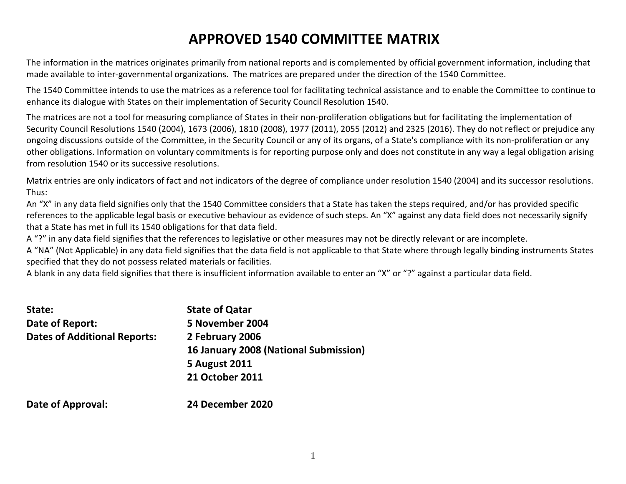# APPROVED 1540 COMMITTEE MATRIX

The information in the matrices originates primarily from national reports and is complemented by official government information, including that made available to inter-governmental organizations. The matrices are prepared under the direction of the 1540 Committee.

The 1540 Committee intends to use the matrices as a reference tool for facilitating technical assistance and to enable the Committee to continue to enhance its dialogue with States on their implementation of Security Council Resolution 1540.

The matrices are not a tool for measuring compliance of States in their non-proliferation obligations but for facilitating the implementation of Security Council Resolutions 1540 (2004), 1673 (2006), 1810 (2008), 1977 (2011), 2055 (2012) and 2325 (2016). They do not reflect or prejudice any ongoing discussions outside of the Committee, in the Security Council or any of its organs, of a State's compliance with its non-proliferation or any other obligations. Information on voluntary commitments is for reporting purpose only and does not constitute in any way a legal obligation arising from resolution 1540 or its successive resolutions.

Matrix entries are only indicators of fact and not indicators of the degree of compliance under resolution 1540 (2004) and its successor resolutions. Thus:

 An "X" in any data field signifies only that the 1540 Committee considers that a State has taken the steps required, and/or has provided specific references to the applicable legal basis or executive behaviour as evidence of such steps. An "X" against any data field does not necessarily signify that a State has met in full its 1540 obligations for that data field.

A "?" in any data field signifies that the references to legislative or other measures may not be directly relevant or are incomplete.

A "NA" (Not Applicable) in any data field signifies that the data field is not applicable to that State where through legally binding instruments States specified that they do not possess related materials or facilities.

A blank in any data field signifies that there is insufficient information available to enter an "X" or "?" against a particular data field.

| State:                              | <b>State of Qatar</b>                 |
|-------------------------------------|---------------------------------------|
| Date of Report:                     | 5 November 2004                       |
| <b>Dates of Additional Reports:</b> | 2 February 2006                       |
|                                     | 16 January 2008 (National Submission) |
|                                     | <b>5 August 2011</b>                  |
|                                     | <b>21 October 2011</b>                |
| <b>Date of Approval:</b>            | 24 December 2020                      |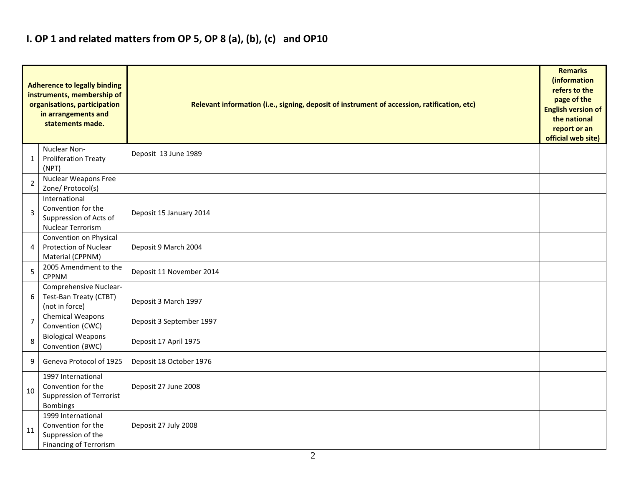#### I. OP 1 and related matters from OP 5, OP 8 (a), (b), (c) and OP10

|                | <b>Adherence to legally binding</b><br>instruments, membership of<br>organisations, participation<br>in arrangements and<br>statements made. | Relevant information (i.e., signing, deposit of instrument of accession, ratification, etc) |  |  |  |  |  |  |  |  |
|----------------|----------------------------------------------------------------------------------------------------------------------------------------------|---------------------------------------------------------------------------------------------|--|--|--|--|--|--|--|--|
| 1              | Nuclear Non-<br><b>Proliferation Treaty</b><br>(NPT)                                                                                         | Deposit 13 June 1989                                                                        |  |  |  |  |  |  |  |  |
| 2              | <b>Nuclear Weapons Free</b><br>Zone/ Protocol(s)                                                                                             |                                                                                             |  |  |  |  |  |  |  |  |
| $\overline{3}$ | International<br>Convention for the<br>Suppression of Acts of<br><b>Nuclear Terrorism</b>                                                    | Deposit 15 January 2014                                                                     |  |  |  |  |  |  |  |  |
| 4              | Convention on Physical<br><b>Protection of Nuclear</b><br>Material (CPPNM)                                                                   | Deposit 9 March 2004                                                                        |  |  |  |  |  |  |  |  |
| 5              | 2005 Amendment to the<br><b>CPPNM</b>                                                                                                        | Deposit 11 November 2014                                                                    |  |  |  |  |  |  |  |  |
| 6              | Comprehensive Nuclear-<br>Test-Ban Treaty (CTBT)<br>(not in force)                                                                           | Deposit 3 March 1997                                                                        |  |  |  |  |  |  |  |  |
| $\overline{7}$ | <b>Chemical Weapons</b><br>Convention (CWC)                                                                                                  | Deposit 3 September 1997                                                                    |  |  |  |  |  |  |  |  |
| 8              | <b>Biological Weapons</b><br>Convention (BWC)                                                                                                | Deposit 17 April 1975                                                                       |  |  |  |  |  |  |  |  |
| 9              | Geneva Protocol of 1925                                                                                                                      | Deposit 18 October 1976                                                                     |  |  |  |  |  |  |  |  |
| 10             | 1997 International<br>Convention for the<br><b>Suppression of Terrorist</b><br><b>Bombings</b>                                               | Deposit 27 June 2008                                                                        |  |  |  |  |  |  |  |  |
| 11             | 1999 International<br>Convention for the<br>Suppression of the<br><b>Financing of Terrorism</b>                                              | Deposit 27 July 2008                                                                        |  |  |  |  |  |  |  |  |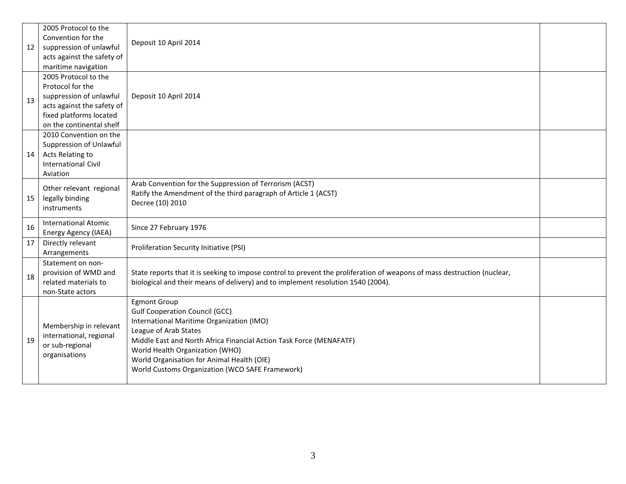|    | 2005 Protocol to the                                  |                                                                                                                          |  |
|----|-------------------------------------------------------|--------------------------------------------------------------------------------------------------------------------------|--|
|    | Convention for the                                    | Deposit 10 April 2014                                                                                                    |  |
| 12 | suppression of unlawful                               |                                                                                                                          |  |
|    | acts against the safety of                            |                                                                                                                          |  |
|    | maritime navigation<br>2005 Protocol to the           |                                                                                                                          |  |
|    | Protocol for the                                      |                                                                                                                          |  |
|    |                                                       |                                                                                                                          |  |
| 13 | suppression of unlawful<br>acts against the safety of | Deposit 10 April 2014                                                                                                    |  |
|    |                                                       |                                                                                                                          |  |
|    | fixed platforms located<br>on the continental shelf   |                                                                                                                          |  |
|    | 2010 Convention on the                                |                                                                                                                          |  |
|    |                                                       |                                                                                                                          |  |
|    | Suppression of Unlawful                               |                                                                                                                          |  |
| 14 | Acts Relating to<br><b>International Civil</b>        |                                                                                                                          |  |
|    | Aviation                                              |                                                                                                                          |  |
|    |                                                       | Arab Convention for the Suppression of Terrorism (ACST)                                                                  |  |
|    | Other relevant regional                               | Ratify the Amendment of the third paragraph of Article 1 (ACST)                                                          |  |
| 15 | legally binding                                       | Decree (10) 2010                                                                                                         |  |
|    | instruments                                           |                                                                                                                          |  |
| 16 | <b>International Atomic</b>                           | Since 27 February 1976                                                                                                   |  |
|    | Energy Agency (IAEA)                                  |                                                                                                                          |  |
| 17 | Directly relevant<br>Arrangements                     | Proliferation Security Initiative (PSI)                                                                                  |  |
|    | Statement on non-                                     |                                                                                                                          |  |
|    | provision of WMD and                                  | State reports that it is seeking to impose control to prevent the proliferation of weapons of mass destruction (nuclear, |  |
| 18 | related materials to                                  | biological and their means of delivery) and to implement resolution 1540 (2004).                                         |  |
|    | non-State actors                                      |                                                                                                                          |  |
|    |                                                       | <b>Egmont Group</b>                                                                                                      |  |
|    |                                                       | <b>Gulf Cooperation Council (GCC)</b>                                                                                    |  |
|    |                                                       | International Maritime Organization (IMO)                                                                                |  |
|    | Membership in relevant                                | League of Arab States                                                                                                    |  |
| 19 | international, regional                               | Middle East and North Africa Financial Action Task Force (MENAFATF)                                                      |  |
|    | or sub-regional                                       | World Health Organization (WHO)                                                                                          |  |
|    | organisations                                         | World Organisation for Animal Health (OIE)                                                                               |  |
|    |                                                       | World Customs Organization (WCO SAFE Framework)                                                                          |  |
|    |                                                       |                                                                                                                          |  |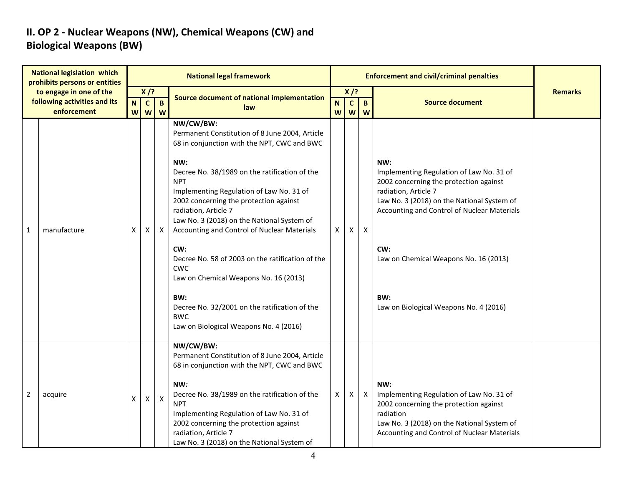## II. OP 2 - Nuclear Weapons (NW), Chemical Weapons (CW) and Biological Weapons (BW)

| <b>National legislation which</b><br>prohibits persons or entities<br>to engage in one of the<br>following activities and its |             |    |                            |                     | <b>National legal framework</b>                                                                                                                                                                                                                                                                                                                                                                                                                                                                                                                                                                                               |              |                           |                           | <b>Enforcement and civil/criminal penalties</b>                                                                                                                                                                                                                                                                 |                |
|-------------------------------------------------------------------------------------------------------------------------------|-------------|----|----------------------------|---------------------|-------------------------------------------------------------------------------------------------------------------------------------------------------------------------------------------------------------------------------------------------------------------------------------------------------------------------------------------------------------------------------------------------------------------------------------------------------------------------------------------------------------------------------------------------------------------------------------------------------------------------------|--------------|---------------------------|---------------------------|-----------------------------------------------------------------------------------------------------------------------------------------------------------------------------------------------------------------------------------------------------------------------------------------------------------------|----------------|
|                                                                                                                               |             |    | $X$ /?                     |                     | Source document of national implementation                                                                                                                                                                                                                                                                                                                                                                                                                                                                                                                                                                                    |              | $X$ /?                    |                           |                                                                                                                                                                                                                                                                                                                 | <b>Remarks</b> |
|                                                                                                                               | enforcement | N. | $\mathbf{C}$<br><b>w w</b> | $\overline{B}$<br>W | law                                                                                                                                                                                                                                                                                                                                                                                                                                                                                                                                                                                                                           | N            | $\overline{c}$<br>$W$ $W$ | B<br>W                    | <b>Source document</b>                                                                                                                                                                                                                                                                                          |                |
| $\mathbf{1}$                                                                                                                  | manufacture | X  | х                          | $\mathsf{X}$        | NW/CW/BW:<br>Permanent Constitution of 8 June 2004, Article<br>68 in conjunction with the NPT, CWC and BWC<br>NW:<br>Decree No. 38/1989 on the ratification of the<br><b>NPT</b><br>Implementing Regulation of Law No. 31 of<br>2002 concerning the protection against<br>radiation, Article 7<br>Law No. 3 (2018) on the National System of<br>Accounting and Control of Nuclear Materials<br>CW:<br>Decree No. 58 of 2003 on the ratification of the<br><b>CWC</b><br>Law on Chemical Weapons No. 16 (2013)<br>BW:<br>Decree No. 32/2001 on the ratification of the<br><b>BWC</b><br>Law on Biological Weapons No. 4 (2016) | $\mathsf{X}$ | X                         | X                         | NW:<br>Implementing Regulation of Law No. 31 of<br>2002 concerning the protection against<br>radiation, Article 7<br>Law No. 3 (2018) on the National System of<br>Accounting and Control of Nuclear Materials<br>CW:<br>Law on Chemical Weapons No. 16 (2013)<br>BW:<br>Law on Biological Weapons No. 4 (2016) |                |
| 2                                                                                                                             | acquire     | X  | X                          | $\mathsf{X}$        | NW/CW/BW:<br>Permanent Constitution of 8 June 2004, Article<br>68 in conjunction with the NPT, CWC and BWC<br>NW:<br>Decree No. 38/1989 on the ratification of the<br><b>NPT</b><br>Implementing Regulation of Law No. 31 of<br>2002 concerning the protection against<br>radiation, Article 7<br>Law No. 3 (2018) on the National System of                                                                                                                                                                                                                                                                                  | X            | Χ                         | $\boldsymbol{\mathsf{X}}$ | NW:<br>Implementing Regulation of Law No. 31 of<br>2002 concerning the protection against<br>radiation<br>Law No. 3 (2018) on the National System of<br>Accounting and Control of Nuclear Materials                                                                                                             |                |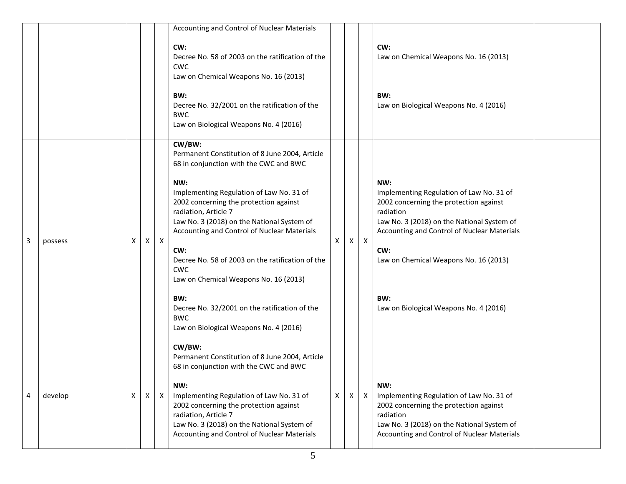|   |         |   |   |              | Accounting and Control of Nuclear Materials                                                                                                                                                                                                                                                                                                                                                                                                                                                                                                            |   |              |              |                                                                                                                                                                                                                                                                                                      |
|---|---------|---|---|--------------|--------------------------------------------------------------------------------------------------------------------------------------------------------------------------------------------------------------------------------------------------------------------------------------------------------------------------------------------------------------------------------------------------------------------------------------------------------------------------------------------------------------------------------------------------------|---|--------------|--------------|------------------------------------------------------------------------------------------------------------------------------------------------------------------------------------------------------------------------------------------------------------------------------------------------------|
|   |         |   |   |              | CW:<br>Decree No. 58 of 2003 on the ratification of the<br><b>CWC</b><br>Law on Chemical Weapons No. 16 (2013)<br>BW:<br>Decree No. 32/2001 on the ratification of the<br><b>BWC</b><br>Law on Biological Weapons No. 4 (2016)                                                                                                                                                                                                                                                                                                                         |   |              |              | CW:<br>Law on Chemical Weapons No. 16 (2013)<br>BW:<br>Law on Biological Weapons No. 4 (2016)                                                                                                                                                                                                        |
| 3 | possess | x | X | $\mathsf{X}$ | CW/BW:<br>Permanent Constitution of 8 June 2004, Article<br>68 in conjunction with the CWC and BWC<br>NW:<br>Implementing Regulation of Law No. 31 of<br>2002 concerning the protection against<br>radiation, Article 7<br>Law No. 3 (2018) on the National System of<br>Accounting and Control of Nuclear Materials<br>CW:<br>Decree No. 58 of 2003 on the ratification of the<br><b>CWC</b><br>Law on Chemical Weapons No. 16 (2013)<br>BW:<br>Decree No. 32/2001 on the ratification of the<br><b>BWC</b><br>Law on Biological Weapons No. 4 (2016) | X | $\mathsf{X}$ | $\mathsf{X}$ | NW:<br>Implementing Regulation of Law No. 31 of<br>2002 concerning the protection against<br>radiation<br>Law No. 3 (2018) on the National System of<br>Accounting and Control of Nuclear Materials<br>CW:<br>Law on Chemical Weapons No. 16 (2013)<br>BW:<br>Law on Biological Weapons No. 4 (2016) |
| 4 | develop | X | X | X            | CW/BW:<br>Permanent Constitution of 8 June 2004, Article<br>68 in conjunction with the CWC and BWC<br>NW:<br>Implementing Regulation of Law No. 31 of<br>2002 concerning the protection against<br>radiation, Article 7<br>Law No. 3 (2018) on the National System of<br>Accounting and Control of Nuclear Materials                                                                                                                                                                                                                                   | X | X            | X            | NW:<br>Implementing Regulation of Law No. 31 of<br>2002 concerning the protection against<br>radiation<br>Law No. 3 (2018) on the National System of<br>Accounting and Control of Nuclear Materials                                                                                                  |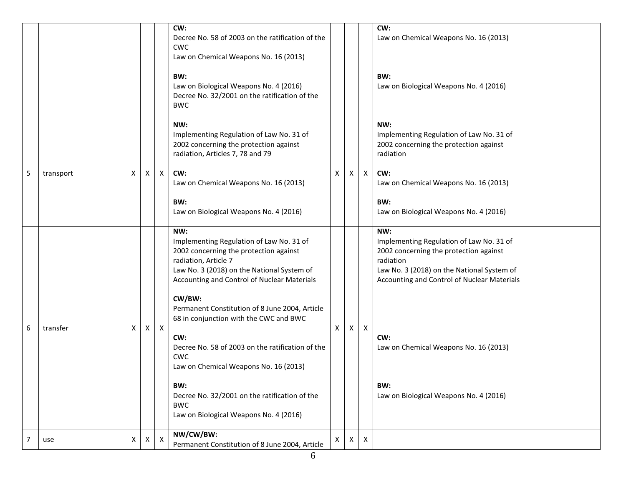|   |           |   |   |              | CW:<br>Decree No. 58 of 2003 on the ratification of the<br><b>CWC</b><br>Law on Chemical Weapons No. 16 (2013)<br>BW:<br>Law on Biological Weapons No. 4 (2016)<br>Decree No. 32/2001 on the ratification of the<br><b>BWC</b>                                                                                                                                                                                                                                                                                                                         |              |    |              | CW:<br>Law on Chemical Weapons No. 16 (2013)<br>BW:<br>Law on Biological Weapons No. 4 (2016)                                                                                                                                                                                                        |  |
|---|-----------|---|---|--------------|--------------------------------------------------------------------------------------------------------------------------------------------------------------------------------------------------------------------------------------------------------------------------------------------------------------------------------------------------------------------------------------------------------------------------------------------------------------------------------------------------------------------------------------------------------|--------------|----|--------------|------------------------------------------------------------------------------------------------------------------------------------------------------------------------------------------------------------------------------------------------------------------------------------------------------|--|
| 5 | transport | X | X | $\mathsf{X}$ | NW:<br>Implementing Regulation of Law No. 31 of<br>2002 concerning the protection against<br>radiation, Articles 7, 78 and 79<br>CW:<br>Law on Chemical Weapons No. 16 (2013)<br>BW:<br>Law on Biological Weapons No. 4 (2016)                                                                                                                                                                                                                                                                                                                         | X            | X  | $\mathsf{X}$ | NW:<br>Implementing Regulation of Law No. 31 of<br>2002 concerning the protection against<br>radiation<br>CW:<br>Law on Chemical Weapons No. 16 (2013)<br>BW:<br>Law on Biological Weapons No. 4 (2016)                                                                                              |  |
| 6 | transfer  | X | X | $\mathsf{X}$ | NW:<br>Implementing Regulation of Law No. 31 of<br>2002 concerning the protection against<br>radiation, Article 7<br>Law No. 3 (2018) on the National System of<br>Accounting and Control of Nuclear Materials<br>CW/BW:<br>Permanent Constitution of 8 June 2004, Article<br>68 in conjunction with the CWC and BWC<br>CW:<br>Decree No. 58 of 2003 on the ratification of the<br><b>CWC</b><br>Law on Chemical Weapons No. 16 (2013)<br>BW:<br>Decree No. 32/2001 on the ratification of the<br><b>BWC</b><br>Law on Biological Weapons No. 4 (2016) | X            | X  | $\mathsf{X}$ | NW:<br>Implementing Regulation of Law No. 31 of<br>2002 concerning the protection against<br>radiation<br>Law No. 3 (2018) on the National System of<br>Accounting and Control of Nuclear Materials<br>CW:<br>Law on Chemical Weapons No. 16 (2013)<br>BW:<br>Law on Biological Weapons No. 4 (2016) |  |
|   | use       | X | X | X            | NW/CW/BW:<br>Permanent Constitution of 8 June 2004, Article                                                                                                                                                                                                                                                                                                                                                                                                                                                                                            | $\mathsf{X}$ | X. | X            |                                                                                                                                                                                                                                                                                                      |  |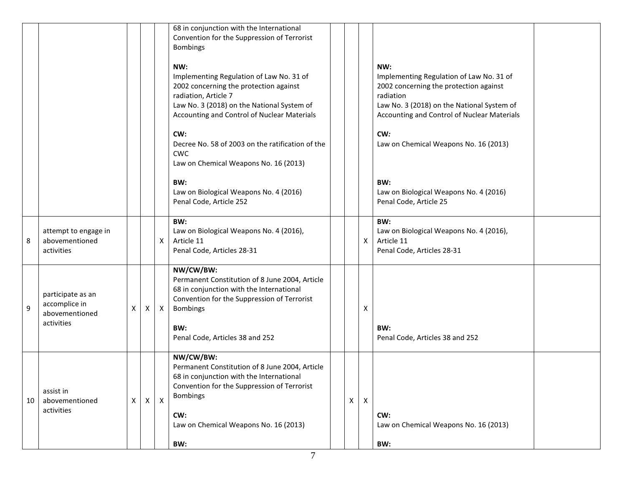|    |                                                                    |   |              |              | 68 in conjunction with the International<br>Convention for the Suppression of Terrorist<br><b>Bombings</b>                                                                                                                       |   |              |                                                                                                                                                                                                     |  |
|----|--------------------------------------------------------------------|---|--------------|--------------|----------------------------------------------------------------------------------------------------------------------------------------------------------------------------------------------------------------------------------|---|--------------|-----------------------------------------------------------------------------------------------------------------------------------------------------------------------------------------------------|--|
|    |                                                                    |   |              |              | NW:<br>Implementing Regulation of Law No. 31 of<br>2002 concerning the protection against<br>radiation, Article 7<br>Law No. 3 (2018) on the National System of<br>Accounting and Control of Nuclear Materials                   |   |              | NW:<br>Implementing Regulation of Law No. 31 of<br>2002 concerning the protection against<br>radiation<br>Law No. 3 (2018) on the National System of<br>Accounting and Control of Nuclear Materials |  |
|    |                                                                    |   |              |              | CW:<br>Decree No. 58 of 2003 on the ratification of the<br><b>CWC</b><br>Law on Chemical Weapons No. 16 (2013)                                                                                                                   |   |              | CW:<br>Law on Chemical Weapons No. 16 (2013)                                                                                                                                                        |  |
|    |                                                                    |   |              |              | BW:<br>Law on Biological Weapons No. 4 (2016)<br>Penal Code, Article 252                                                                                                                                                         |   |              | BW:<br>Law on Biological Weapons No. 4 (2016)<br>Penal Code, Article 25                                                                                                                             |  |
| 8  | attempt to engage in<br>abovementioned<br>activities               |   |              | X            | BW:<br>Law on Biological Weapons No. 4 (2016),<br>Article 11<br>Penal Code, Articles 28-31                                                                                                                                       |   | X            | BW:<br>Law on Biological Weapons No. 4 (2016),<br>Article 11<br>Penal Code, Articles 28-31                                                                                                          |  |
| 9  | participate as an<br>accomplice in<br>abovementioned<br>activities | X | X            | $\mathsf{X}$ | NW/CW/BW:<br>Permanent Constitution of 8 June 2004, Article<br>68 in conjunction with the International<br>Convention for the Suppression of Terrorist<br><b>Bombings</b><br>BW:<br>Penal Code, Articles 38 and 252              |   | Χ            | BW:<br>Penal Code, Articles 38 and 252                                                                                                                                                              |  |
| 10 | assist in<br>abovementioned<br>activities                          | X | $\mathsf{X}$ | $\mathsf{X}$ | NW/CW/BW:<br>Permanent Constitution of 8 June 2004, Article<br>68 in conjunction with the International<br>Convention for the Suppression of Terrorist<br><b>Bombings</b><br>CW:<br>Law on Chemical Weapons No. 16 (2013)<br>BW: | X | $\mathsf{X}$ | CW:<br>Law on Chemical Weapons No. 16 (2013)<br>BW:                                                                                                                                                 |  |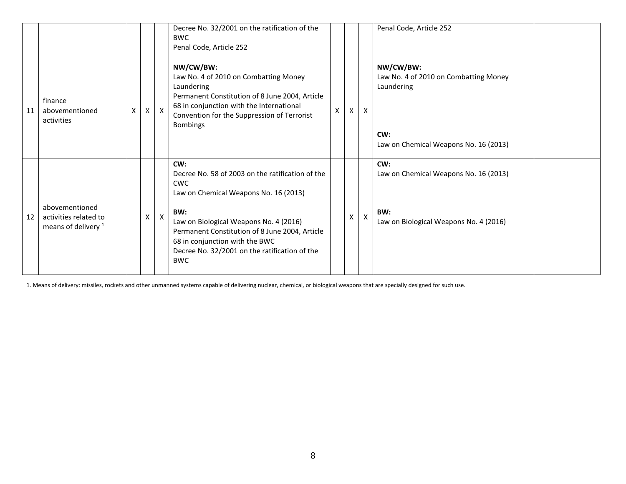|    |                                                                  |   |              | Decree No. 32/2001 on the ratification of the<br><b>BWC</b><br>Penal Code, Article 252                                                                                                                                                                                                                             |   |   |              | Penal Code, Article 252                                                                                          |
|----|------------------------------------------------------------------|---|--------------|--------------------------------------------------------------------------------------------------------------------------------------------------------------------------------------------------------------------------------------------------------------------------------------------------------------------|---|---|--------------|------------------------------------------------------------------------------------------------------------------|
| 11 | finance<br>abovementioned<br>activities                          |   | $\mathsf{X}$ | NW/CW/BW:<br>Law No. 4 of 2010 on Combatting Money<br>Laundering<br>Permanent Constitution of 8 June 2004, Article<br>68 in conjunction with the International<br>Convention for the Suppression of Terrorist<br><b>Bombings</b>                                                                                   | X | X | X            | NW/CW/BW:<br>Law No. 4 of 2010 on Combatting Money<br>Laundering<br>CW:<br>Law on Chemical Weapons No. 16 (2013) |
| 12 | abovementioned<br>activities related to<br>means of delivery $1$ | x | X            | CW:<br>Decree No. 58 of 2003 on the ratification of the<br><b>CWC</b><br>Law on Chemical Weapons No. 16 (2013)<br>BW:<br>Law on Biological Weapons No. 4 (2016)<br>Permanent Constitution of 8 June 2004, Article<br>68 in conjunction with the BWC<br>Decree No. 32/2001 on the ratification of the<br><b>BWC</b> |   | X | $\mathsf{X}$ | CW:<br>Law on Chemical Weapons No. 16 (2013)<br>BW:<br>Law on Biological Weapons No. 4 (2016)                    |

1. Means of delivery: missiles, rockets and other unmanned systems capable of delivering nuclear, chemical, or biological weapons that are specially designed for such use.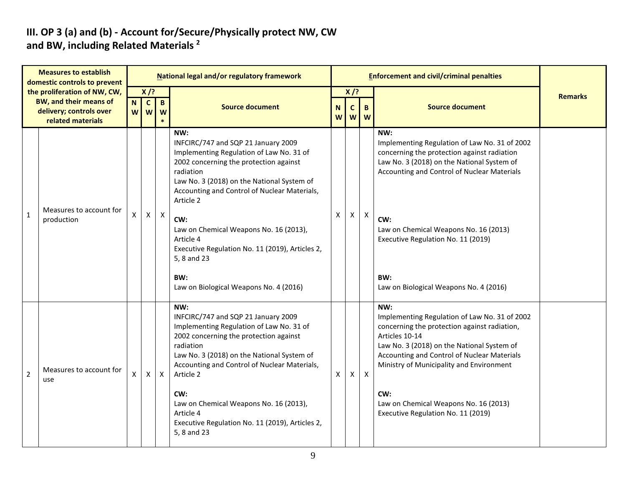# III. OP 3 (a) and (b) - Account for/Secure/Physically protect NW, CW<br>and BW, including Related Materials <sup>2</sup>

|                                                                                                               | <b>Measures to establish</b><br>domestic controls to prevent |                  |                                                  |              | National legal and/or regulatory framework                                                                                                                                                                                                                                                                                                                                                                                                |                                                        |              |              | <b>Enforcement and civil/criminal penalties</b>                                                                                                                                                                                                                                                                                                       |                |
|---------------------------------------------------------------------------------------------------------------|--------------------------------------------------------------|------------------|--------------------------------------------------|--------------|-------------------------------------------------------------------------------------------------------------------------------------------------------------------------------------------------------------------------------------------------------------------------------------------------------------------------------------------------------------------------------------------------------------------------------------------|--------------------------------------------------------|--------------|--------------|-------------------------------------------------------------------------------------------------------------------------------------------------------------------------------------------------------------------------------------------------------------------------------------------------------------------------------------------------------|----------------|
| the proliferation of NW, CW,<br><b>BW, and their means of</b><br>delivery; controls over<br>related materials |                                                              | $\mathbf N$<br>W | $X$ /?<br>$\mathbf{c}$<br>$\mathbf{B}$<br>W<br>W |              | <b>Source document</b>                                                                                                                                                                                                                                                                                                                                                                                                                    | $X$ /?<br>$\mathsf{C}$<br>N<br>B<br><b>W</b><br>W<br>W |              |              | <b>Source document</b>                                                                                                                                                                                                                                                                                                                                | <b>Remarks</b> |
| $\mathbf{1}$                                                                                                  | Measures to account for<br>production                        | X                | $\mathsf{X}$                                     | $\mathsf{X}$ | NW:<br>INFCIRC/747 and SQP 21 January 2009<br>Implementing Regulation of Law No. 31 of<br>2002 concerning the protection against<br>radiation<br>Law No. 3 (2018) on the National System of<br>Accounting and Control of Nuclear Materials,<br>Article 2<br>CW:<br>Law on Chemical Weapons No. 16 (2013),<br>Article 4<br>Executive Regulation No. 11 (2019), Articles 2,<br>5, 8 and 23<br>BW:<br>Law on Biological Weapons No. 4 (2016) | $\pmb{\mathsf{X}}$                                     | X            | $\mathsf{X}$ | NW:<br>Implementing Regulation of Law No. 31 of 2002<br>concerning the protection against radiation<br>Law No. 3 (2018) on the National System of<br>Accounting and Control of Nuclear Materials<br>CW:<br>Law on Chemical Weapons No. 16 (2013)<br>Executive Regulation No. 11 (2019)<br>BW:<br>Law on Biological Weapons No. 4 (2016)               |                |
| $\overline{2}$                                                                                                | Measures to account for<br>use                               | X                | X                                                | $\mathsf{X}$ | NW:<br>INFCIRC/747 and SQP 21 January 2009<br>Implementing Regulation of Law No. 31 of<br>2002 concerning the protection against<br>radiation<br>Law No. 3 (2018) on the National System of<br>Accounting and Control of Nuclear Materials,<br>Article 2<br>CW:<br>Law on Chemical Weapons No. 16 (2013),<br>Article 4<br>Executive Regulation No. 11 (2019), Articles 2,<br>5, 8 and 23                                                  | Χ                                                      | $\mathsf{X}$ | $\mathsf{X}$ | NW:<br>Implementing Regulation of Law No. 31 of 2002<br>concerning the protection against radiation,<br>Articles 10-14<br>Law No. 3 (2018) on the National System of<br>Accounting and Control of Nuclear Materials<br>Ministry of Municipality and Environment<br>CW:<br>Law on Chemical Weapons No. 16 (2013)<br>Executive Regulation No. 11 (2019) |                |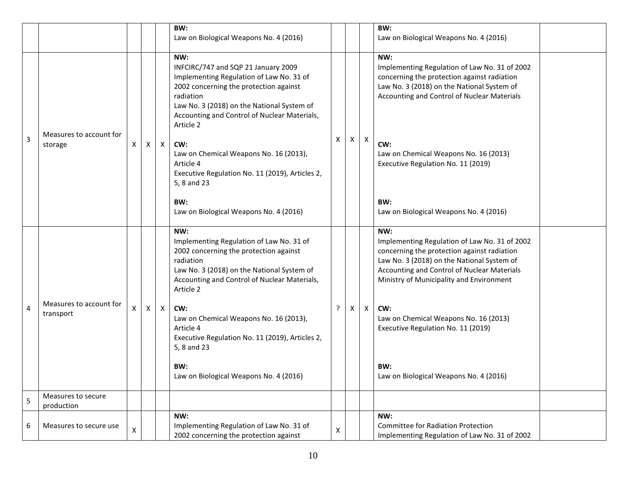|   |                                      |                    |   |              | BW:<br>Law on Biological Weapons No. 4 (2016)                                                                                                                                                                                                                                                                                                                                                      |   |   |                                                                                                                                                                                                  | BW:<br>Law on Biological Weapons No. 4 (2016)                                                                                                                                                                                                                                                                                                                                       |  |
|---|--------------------------------------|--------------------|---|--------------|----------------------------------------------------------------------------------------------------------------------------------------------------------------------------------------------------------------------------------------------------------------------------------------------------------------------------------------------------------------------------------------------------|---|---|--------------------------------------------------------------------------------------------------------------------------------------------------------------------------------------------------|-------------------------------------------------------------------------------------------------------------------------------------------------------------------------------------------------------------------------------------------------------------------------------------------------------------------------------------------------------------------------------------|--|
|   |                                      |                    |   |              | NW:<br>INFCIRC/747 and SQP 21 January 2009<br>Implementing Regulation of Law No. 31 of<br>2002 concerning the protection against<br>radiation<br>Law No. 3 (2018) on the National System of<br>Accounting and Control of Nuclear Materials,                                                                                                                                                        |   |   | NW:<br>Implementing Regulation of Law No. 31 of 2002<br>concerning the protection against radiation<br>Law No. 3 (2018) on the National System of<br>Accounting and Control of Nuclear Materials |                                                                                                                                                                                                                                                                                                                                                                                     |  |
| 3 | Measures to account for<br>storage   | X                  | X | $\mathsf{X}$ | Article 2<br>CW:<br>Law on Chemical Weapons No. 16 (2013),<br>Article 4<br>Executive Regulation No. 11 (2019), Articles 2,<br>5, 8 and 23                                                                                                                                                                                                                                                          | X | X | X                                                                                                                                                                                                | CW:<br>Law on Chemical Weapons No. 16 (2013)<br>Executive Regulation No. 11 (2019)                                                                                                                                                                                                                                                                                                  |  |
|   |                                      |                    |   |              | BW:<br>Law on Biological Weapons No. 4 (2016)                                                                                                                                                                                                                                                                                                                                                      |   |   |                                                                                                                                                                                                  | BW:<br>Law on Biological Weapons No. 4 (2016)                                                                                                                                                                                                                                                                                                                                       |  |
| 4 | Measures to account for<br>transport | х                  | X | $\mathsf{X}$ | NW:<br>Implementing Regulation of Law No. 31 of<br>2002 concerning the protection against<br>radiation<br>Law No. 3 (2018) on the National System of<br>Accounting and Control of Nuclear Materials,<br>Article 2<br>CW:<br>Law on Chemical Weapons No. 16 (2013),<br>Article 4<br>Executive Regulation No. 11 (2019), Articles 2,<br>5, 8 and 23<br>BW:<br>Law on Biological Weapons No. 4 (2016) | ? | Χ | X                                                                                                                                                                                                | NW:<br>Implementing Regulation of Law No. 31 of 2002<br>concerning the protection against radiation<br>Law No. 3 (2018) on the National System of<br>Accounting and Control of Nuclear Materials<br>Ministry of Municipality and Environment<br>CW:<br>Law on Chemical Weapons No. 16 (2013)<br>Executive Regulation No. 11 (2019)<br>BW:<br>Law on Biological Weapons No. 4 (2016) |  |
| 5 | Measures to secure<br>production     |                    |   |              |                                                                                                                                                                                                                                                                                                                                                                                                    |   |   |                                                                                                                                                                                                  |                                                                                                                                                                                                                                                                                                                                                                                     |  |
| 6 | Measures to secure use               | $\pmb{\mathsf{X}}$ |   |              | NW:<br>Implementing Regulation of Law No. 31 of<br>2002 concerning the protection against                                                                                                                                                                                                                                                                                                          | Χ |   |                                                                                                                                                                                                  | NW:<br><b>Committee for Radiation Protection</b><br>Implementing Regulation of Law No. 31 of 2002                                                                                                                                                                                                                                                                                   |  |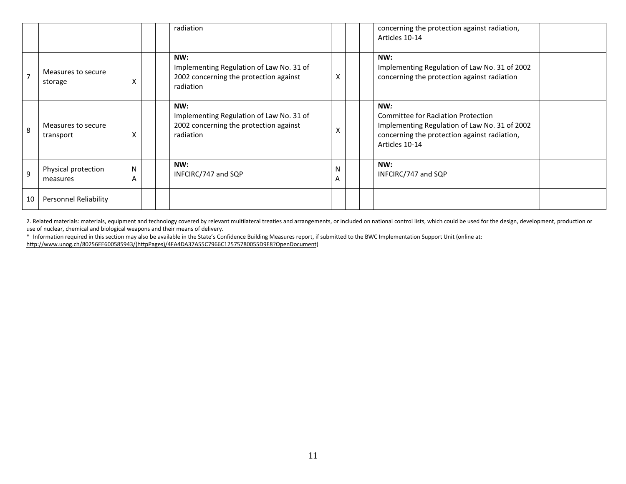|    |                                 |        |  | radiation                                                                                              |              |  | concerning the protection against radiation,<br>Articles 10-14                                                                                                      |
|----|---------------------------------|--------|--|--------------------------------------------------------------------------------------------------------|--------------|--|---------------------------------------------------------------------------------------------------------------------------------------------------------------------|
|    | Measures to secure<br>storage   | X      |  | NW:<br>Implementing Regulation of Law No. 31 of<br>2002 concerning the protection against<br>radiation | X            |  | NW:<br>Implementing Regulation of Law No. 31 of 2002<br>concerning the protection against radiation                                                                 |
| 8  | Measures to secure<br>transport | X      |  | NW:<br>Implementing Regulation of Law No. 31 of<br>2002 concerning the protection against<br>radiation | $\checkmark$ |  | NW:<br><b>Committee for Radiation Protection</b><br>Implementing Regulation of Law No. 31 of 2002<br>concerning the protection against radiation,<br>Articles 10-14 |
| 9  | Physical protection<br>measures | N<br>A |  | NW:<br>INFCIRC/747 and SQP                                                                             | N<br>A       |  | NW:<br>INFCIRC/747 and SQP                                                                                                                                          |
| 10 | Personnel Reliability           |        |  |                                                                                                        |              |  |                                                                                                                                                                     |

2. Related materials: materials, equipment and technology covered by relevant multilateral treaties and arrangements, or included on national control lists, which could be used for the design, development, production or use of nuclear, chemical and biological weapons and their means of delivery.

\* Information required in this section may also be available in the State's Confidence Building Measures report, if submitted to the BWC Implementation Support Unit (online at:<br>http://www.unog.ch/80256EE600585943/(httpPage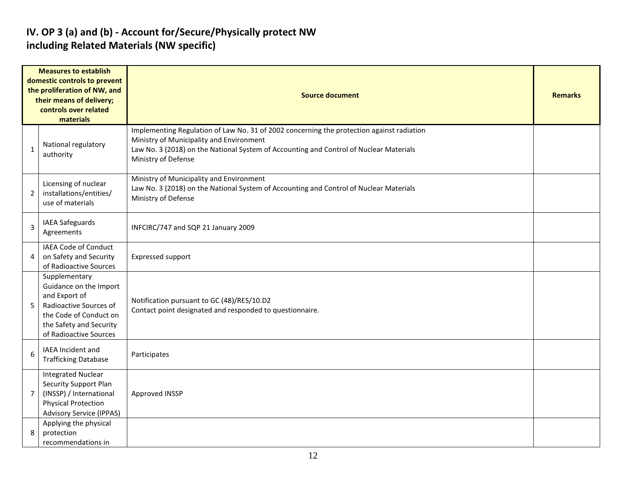## IV. OP 3 (a) and (b) - Account for/Secure/Physically protect NW including Related Materials (NW specific)

|                | <b>Measures to establish</b><br>domestic controls to prevent<br>the proliferation of NW, and<br>their means of delivery;<br>controls over related<br>materials    | <b>Source document</b>                                                                                                                                                                                                                                 |  |  |  |  |  |  |  |  |
|----------------|-------------------------------------------------------------------------------------------------------------------------------------------------------------------|--------------------------------------------------------------------------------------------------------------------------------------------------------------------------------------------------------------------------------------------------------|--|--|--|--|--|--|--|--|
| $\mathbf{1}$   | National regulatory<br>authority                                                                                                                                  | Implementing Regulation of Law No. 31 of 2002 concerning the protection against radiation<br>Ministry of Municipality and Environment<br>Law No. 3 (2018) on the National System of Accounting and Control of Nuclear Materials<br>Ministry of Defense |  |  |  |  |  |  |  |  |
| $\overline{2}$ | Licensing of nuclear<br>installations/entities/<br>use of materials                                                                                               | Ministry of Municipality and Environment<br>Law No. 3 (2018) on the National System of Accounting and Control of Nuclear Materials<br>Ministry of Defense                                                                                              |  |  |  |  |  |  |  |  |
| 3              | <b>IAEA Safeguards</b><br>Agreements                                                                                                                              | INFCIRC/747 and SQP 21 January 2009                                                                                                                                                                                                                    |  |  |  |  |  |  |  |  |
| 4              | IAEA Code of Conduct<br>on Safety and Security<br>of Radioactive Sources                                                                                          | Expressed support                                                                                                                                                                                                                                      |  |  |  |  |  |  |  |  |
| 5              | Supplementary<br>Guidance on the Import<br>and Export of<br>Radioactive Sources of<br>the Code of Conduct on<br>the Safety and Security<br>of Radioactive Sources | Notification pursuant to GC (48)/RES/10.D2<br>Contact point designated and responded to questionnaire.                                                                                                                                                 |  |  |  |  |  |  |  |  |
| 6              | IAEA Incident and<br><b>Trafficking Database</b>                                                                                                                  | Participates                                                                                                                                                                                                                                           |  |  |  |  |  |  |  |  |
| 7              | <b>Integrated Nuclear</b><br><b>Security Support Plan</b><br>(INSSP) / International<br><b>Physical Protection</b><br><b>Advisory Service (IPPAS)</b>             | Approved INSSP                                                                                                                                                                                                                                         |  |  |  |  |  |  |  |  |
| 8              | Applying the physical<br>protection<br>recommendations in                                                                                                         |                                                                                                                                                                                                                                                        |  |  |  |  |  |  |  |  |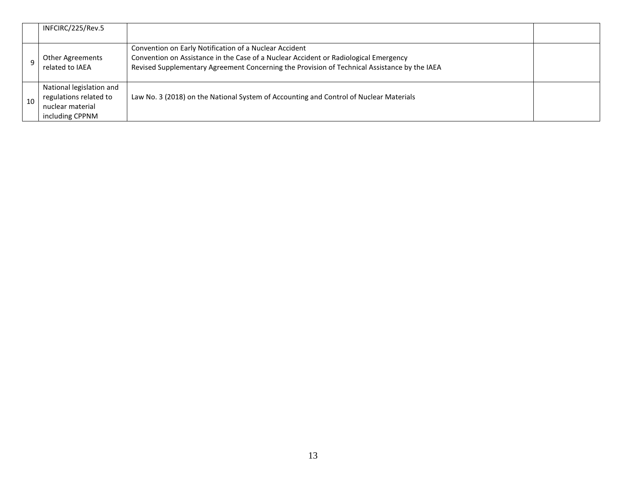|    | INFCIRC/225/Rev.5                                                                         |                                                                                                                                                                                                                                                |  |
|----|-------------------------------------------------------------------------------------------|------------------------------------------------------------------------------------------------------------------------------------------------------------------------------------------------------------------------------------------------|--|
|    | Other Agreements<br>related to IAEA                                                       | Convention on Early Notification of a Nuclear Accident<br>Convention on Assistance in the Case of a Nuclear Accident or Radiological Emergency<br>Revised Supplementary Agreement Concerning the Provision of Technical Assistance by the IAEA |  |
| 10 | National legislation and<br>regulations related to<br>nuclear material<br>including CPPNM | Law No. 3 (2018) on the National System of Accounting and Control of Nuclear Materials                                                                                                                                                         |  |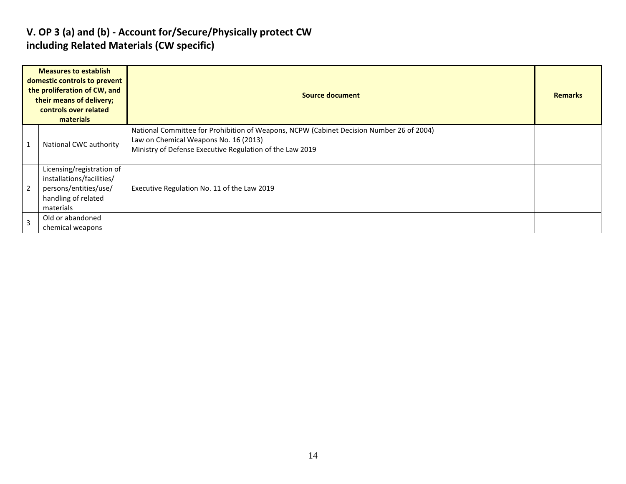## V. OP 3 (a) and (b) - Account for/Secure/Physically protect CW including Related Materials (CW specific)

| <b>Measures to establish</b><br>domestic controls to prevent<br>the proliferation of CW, and<br>their means of delivery;<br>controls over related<br>materials |                                                                                                                     | Source document                                                                                                                                                                               |  |  |  |  |  |
|----------------------------------------------------------------------------------------------------------------------------------------------------------------|---------------------------------------------------------------------------------------------------------------------|-----------------------------------------------------------------------------------------------------------------------------------------------------------------------------------------------|--|--|--|--|--|
|                                                                                                                                                                | National CWC authority                                                                                              | National Committee for Prohibition of Weapons, NCPW (Cabinet Decision Number 26 of 2004)<br>Law on Chemical Weapons No. 16 (2013)<br>Ministry of Defense Executive Regulation of the Law 2019 |  |  |  |  |  |
| $\overline{2}$                                                                                                                                                 | Licensing/registration of<br>installations/facilities/<br>persons/entities/use/<br>handling of related<br>materials | Executive Regulation No. 11 of the Law 2019                                                                                                                                                   |  |  |  |  |  |
|                                                                                                                                                                | Old or abandoned<br>chemical weapons                                                                                |                                                                                                                                                                                               |  |  |  |  |  |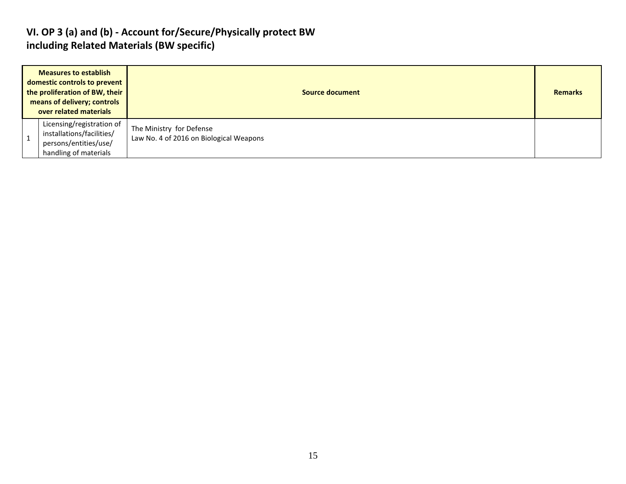#### VI. OP 3 (a) and (b) - Account for/Secure/Physically protect BW including Related Materials (BW specific)

| <b>Measures to establish</b><br>domestic controls to prevent<br>the proliferation of BW, their<br>means of delivery; controls<br>over related materials |                                                                                                          | <b>Source document</b>                                              |  |  |  |  |  |
|---------------------------------------------------------------------------------------------------------------------------------------------------------|----------------------------------------------------------------------------------------------------------|---------------------------------------------------------------------|--|--|--|--|--|
|                                                                                                                                                         | Licensing/registration of<br>installations/facilities/<br>persons/entities/use/<br>handling of materials | The Ministry for Defense<br>Law No. 4 of 2016 on Biological Weapons |  |  |  |  |  |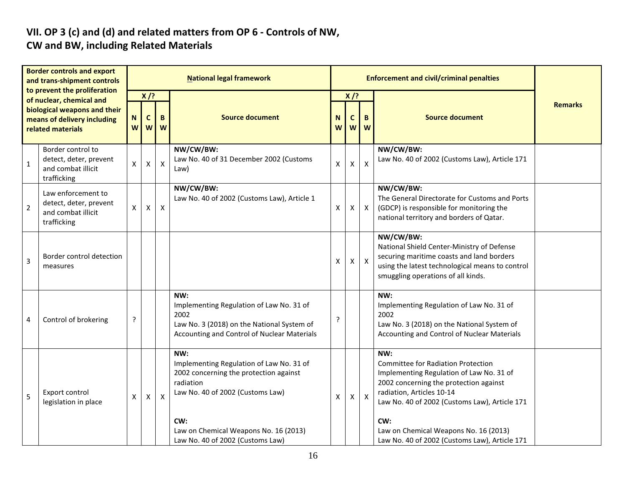## VII. OP 3 (c) and (d) and related matters from OP 6 - Controls of NW, CW and BW, including Related Materials

| <b>Border controls and export</b><br>and trans-shipment controls<br>to prevent the proliferation<br>of nuclear, chemical and<br>biological weapons and their<br>means of delivery including<br>related materials |                                                                                   |                                                |   |              | <b>National legal framework</b>                                                                                                                                                                                                |                |                             | <b>Enforcement and civil/criminal penalties</b> |                                                                                                                                                                                                                                                                                                                       |                |
|------------------------------------------------------------------------------------------------------------------------------------------------------------------------------------------------------------------|-----------------------------------------------------------------------------------|------------------------------------------------|---|--------------|--------------------------------------------------------------------------------------------------------------------------------------------------------------------------------------------------------------------------------|----------------|-----------------------------|-------------------------------------------------|-----------------------------------------------------------------------------------------------------------------------------------------------------------------------------------------------------------------------------------------------------------------------------------------------------------------------|----------------|
|                                                                                                                                                                                                                  |                                                                                   | $X$ /?<br>B<br>$\mathbf c$<br>N<br>W<br>W<br>W |   |              | <b>Source document</b>                                                                                                                                                                                                         | N<br>W         | $X$ /?<br>$\mathsf{C}$<br>W | B<br><b>W</b>                                   | <b>Source document</b>                                                                                                                                                                                                                                                                                                | <b>Remarks</b> |
| $\mathbf{1}$                                                                                                                                                                                                     | Border control to<br>detect, deter, prevent<br>and combat illicit<br>trafficking  | X.                                             | X | $\mathsf{X}$ | NW/CW/BW:<br>Law No. 40 of 31 December 2002 (Customs<br>Law)                                                                                                                                                                   | $\mathsf{X}$   | X                           | $\mathsf{X}$                                    | NW/CW/BW:<br>Law No. 40 of 2002 (Customs Law), Article 171                                                                                                                                                                                                                                                            |                |
| $\overline{2}$                                                                                                                                                                                                   | Law enforcement to<br>detect, deter, prevent<br>and combat illicit<br>trafficking | X                                              | X | X            | NW/CW/BW:<br>Law No. 40 of 2002 (Customs Law), Article 1                                                                                                                                                                       | X              | X                           | $\mathsf{X}$                                    | NW/CW/BW:<br>The General Directorate for Customs and Ports<br>(GDCP) is responsible for monitoring the<br>national territory and borders of Qatar.                                                                                                                                                                    |                |
| 3                                                                                                                                                                                                                | Border control detection<br>measures                                              |                                                |   |              |                                                                                                                                                                                                                                | X              | X                           | $\boldsymbol{\mathsf{X}}$                       | NW/CW/BW:<br>National Shield Center-Ministry of Defense<br>securing maritime coasts and land borders<br>using the latest technological means to control<br>smuggling operations of all kinds.                                                                                                                         |                |
| 4                                                                                                                                                                                                                | Control of brokering                                                              | ?                                              |   |              | NW:<br>Implementing Regulation of Law No. 31 of<br>2002<br>Law No. 3 (2018) on the National System of<br>Accounting and Control of Nuclear Materials                                                                           | $\overline{?}$ |                             |                                                 | NW:<br>Implementing Regulation of Law No. 31 of<br>2002<br>Law No. 3 (2018) on the National System of<br>Accounting and Control of Nuclear Materials                                                                                                                                                                  |                |
| 5                                                                                                                                                                                                                | Export control<br>legislation in place                                            | X                                              | X | X            | NW:<br>Implementing Regulation of Law No. 31 of<br>2002 concerning the protection against<br>radiation<br>Law No. 40 of 2002 (Customs Law)<br>CW:<br>Law on Chemical Weapons No. 16 (2013)<br>Law No. 40 of 2002 (Customs Law) | X              | X                           | $\mathsf{X}$                                    | NW:<br><b>Committee for Radiation Protection</b><br>Implementing Regulation of Law No. 31 of<br>2002 concerning the protection against<br>radiation, Articles 10-14<br>Law No. 40 of 2002 (Customs Law), Article 171<br>CW:<br>Law on Chemical Weapons No. 16 (2013)<br>Law No. 40 of 2002 (Customs Law), Article 171 |                |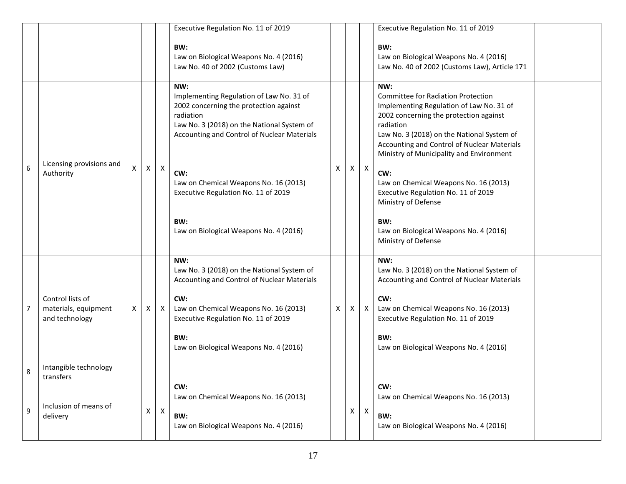|   |                                                            |                |   |                  | Executive Regulation No. 11 of 2019                                                                                                                                                                 |                                               |                                                                                                  |                  | Executive Regulation No. 11 of 2019                                                                                                                                                                                                                                                          |                                                                                                  |   |   |              |
|---|------------------------------------------------------------|----------------|---|------------------|-----------------------------------------------------------------------------------------------------------------------------------------------------------------------------------------------------|-----------------------------------------------|--------------------------------------------------------------------------------------------------|------------------|----------------------------------------------------------------------------------------------------------------------------------------------------------------------------------------------------------------------------------------------------------------------------------------------|--------------------------------------------------------------------------------------------------|---|---|--------------|
|   |                                                            |                |   |                  | BW:<br>Law on Biological Weapons No. 4 (2016)<br>Law No. 40 of 2002 (Customs Law)                                                                                                                   |                                               |                                                                                                  |                  | BW:<br>Law on Biological Weapons No. 4 (2016)<br>Law No. 40 of 2002 (Customs Law), Article 171                                                                                                                                                                                               |                                                                                                  |   |   |              |
| 6 | Licensing provisions and<br>Authority                      |                | X | $\boldsymbol{X}$ | NW:<br>Implementing Regulation of Law No. 31 of<br>2002 concerning the protection against<br>radiation<br>Law No. 3 (2018) on the National System of<br>Accounting and Control of Nuclear Materials | х                                             | X.                                                                                               | $\boldsymbol{X}$ | NW:<br><b>Committee for Radiation Protection</b><br>Implementing Regulation of Law No. 31 of<br>2002 concerning the protection against<br>radiation<br>Law No. 3 (2018) on the National System of<br>Accounting and Control of Nuclear Materials<br>Ministry of Municipality and Environment |                                                                                                  |   |   |              |
|   |                                                            | $\pmb{\times}$ |   |                  | CW:<br>Law on Chemical Weapons No. 16 (2013)<br>Executive Regulation No. 11 of 2019                                                                                                                 |                                               |                                                                                                  |                  | CW:<br>Law on Chemical Weapons No. 16 (2013)<br>Executive Regulation No. 11 of 2019<br>Ministry of Defense                                                                                                                                                                                   |                                                                                                  |   |   |              |
|   |                                                            |                |   |                  |                                                                                                                                                                                                     | BW:<br>Law on Biological Weapons No. 4 (2016) |                                                                                                  |                  |                                                                                                                                                                                                                                                                                              | BW:<br>Law on Biological Weapons No. 4 (2016)<br>Ministry of Defense                             |   |   |              |
|   | Control lists of<br>materials, equipment<br>and technology | X              | X |                  |                                                                                                                                                                                                     |                                               | NW:<br>Law No. 3 (2018) on the National System of<br>Accounting and Control of Nuclear Materials |                  |                                                                                                                                                                                                                                                                                              | NW:<br>Law No. 3 (2018) on the National System of<br>Accounting and Control of Nuclear Materials |   |   |              |
| 7 |                                                            |                |   |                  |                                                                                                                                                                                                     | $\mathsf{X}$                                  |                                                                                                  |                  |                                                                                                                                                                                                                                                                                              | CW:<br>Law on Chemical Weapons No. 16 (2013)<br>Executive Regulation No. 11 of 2019              | Χ | X | $\mathsf{X}$ |
|   |                                                            |                |   |                  | BW:<br>Law on Biological Weapons No. 4 (2016)                                                                                                                                                       |                                               |                                                                                                  |                  | BW:<br>Law on Biological Weapons No. 4 (2016)                                                                                                                                                                                                                                                |                                                                                                  |   |   |              |
| 8 | Intangible technology<br>transfers                         |                |   |                  |                                                                                                                                                                                                     |                                               |                                                                                                  |                  |                                                                                                                                                                                                                                                                                              |                                                                                                  |   |   |              |
| 9 | Inclusion of means of<br>delivery                          |                | Χ | $\mathsf X$      | CW:<br>Law on Chemical Weapons No. 16 (2013)<br>BW:<br>Law on Biological Weapons No. 4 (2016)                                                                                                       |                                               | X                                                                                                | $\boldsymbol{X}$ | CW:<br>Law on Chemical Weapons No. 16 (2013)<br>BW:<br>Law on Biological Weapons No. 4 (2016)                                                                                                                                                                                                |                                                                                                  |   |   |              |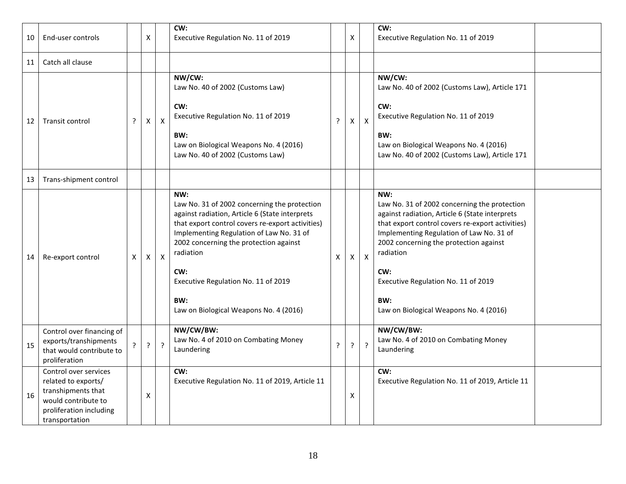| 10 | End-user controls                                                                                                                      |   | X |                | CW:<br>Executive Regulation No. 11 of 2019                                                                                                                                                                                                                                                                                                                  |              | Χ  |                           | CW:<br>Executive Regulation No. 11 of 2019                                                                                                                                                                                                                                                                                                                  |  |
|----|----------------------------------------------------------------------------------------------------------------------------------------|---|---|----------------|-------------------------------------------------------------------------------------------------------------------------------------------------------------------------------------------------------------------------------------------------------------------------------------------------------------------------------------------------------------|--------------|----|---------------------------|-------------------------------------------------------------------------------------------------------------------------------------------------------------------------------------------------------------------------------------------------------------------------------------------------------------------------------------------------------------|--|
| 11 | Catch all clause                                                                                                                       |   |   |                |                                                                                                                                                                                                                                                                                                                                                             |              |    |                           |                                                                                                                                                                                                                                                                                                                                                             |  |
| 12 | Transit control                                                                                                                        | ? | X | X              | NW/CW:<br>Law No. 40 of 2002 (Customs Law)<br>CW:<br>Executive Regulation No. 11 of 2019<br>BW:<br>Law on Biological Weapons No. 4 (2016)<br>Law No. 40 of 2002 (Customs Law)                                                                                                                                                                               | ?            | X  | X                         | NW/CW:<br>Law No. 40 of 2002 (Customs Law), Article 171<br>CW:<br>Executive Regulation No. 11 of 2019<br>BW:<br>Law on Biological Weapons No. 4 (2016)<br>Law No. 40 of 2002 (Customs Law), Article 171                                                                                                                                                     |  |
| 13 | Trans-shipment control                                                                                                                 |   |   |                |                                                                                                                                                                                                                                                                                                                                                             |              |    |                           |                                                                                                                                                                                                                                                                                                                                                             |  |
| 14 | Re-export control                                                                                                                      | X | Χ | X              | NW:<br>Law No. 31 of 2002 concerning the protection<br>against radiation, Article 6 (State interprets<br>that export control covers re-export activities)<br>Implementing Regulation of Law No. 31 of<br>2002 concerning the protection against<br>radiation<br>CW:<br>Executive Regulation No. 11 of 2019<br>BW:<br>Law on Biological Weapons No. 4 (2016) | $\mathsf{X}$ | X  | $\boldsymbol{\mathsf{X}}$ | NW:<br>Law No. 31 of 2002 concerning the protection<br>against radiation, Article 6 (State interprets<br>that export control covers re-export activities)<br>Implementing Regulation of Law No. 31 of<br>2002 concerning the protection against<br>radiation<br>CW:<br>Executive Regulation No. 11 of 2019<br>BW:<br>Law on Biological Weapons No. 4 (2016) |  |
| 15 | Control over financing of<br>exports/transhipments<br>that would contribute to<br>proliferation                                        | 2 | ? | $\overline{?}$ | NW/CW/BW:<br>Law No. 4 of 2010 on Combating Money<br>Laundering                                                                                                                                                                                                                                                                                             | ?            | ç. | $\cdot$                   | NW/CW/BW:<br>Law No. 4 of 2010 on Combating Money<br>Laundering                                                                                                                                                                                                                                                                                             |  |
| 16 | Control over services<br>related to exports/<br>transhipments that<br>would contribute to<br>proliferation including<br>transportation |   | Χ |                | CW:<br>Executive Regulation No. 11 of 2019, Article 11                                                                                                                                                                                                                                                                                                      |              | Χ  |                           | CW:<br>Executive Regulation No. 11 of 2019, Article 11                                                                                                                                                                                                                                                                                                      |  |